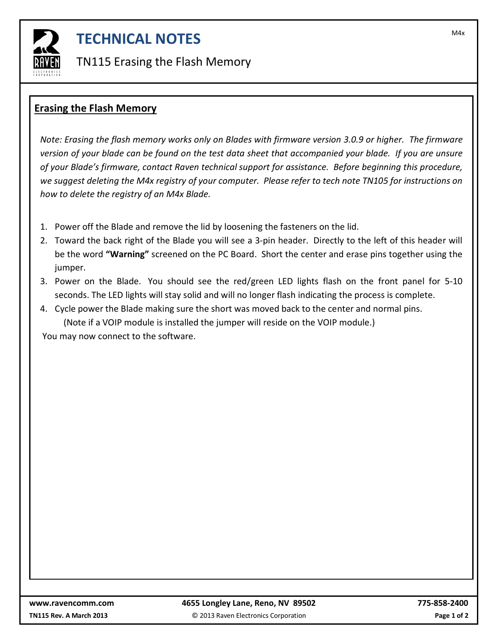

## **TECHNICAL NOTES**

TN115 Erasing the Flash Memory

## **Erasing the Flash Memory**

*Note: Erasing the flash memory works only on Blades with firmware version 3.0.9 or higher. The firmware version of your blade can be found on the test data sheet that accompanied your blade. If you are unsure of your Blade's firmware, contact Raven technical support for assistance. Before beginning this procedure, we suggest deleting the M4x registry of your computer. Please refer to tech note TN105 for instructions on how to delete the registry of an M4x Blade.* 

- 1. Power off the Blade and remove the lid by loosening the fasteners on the lid.
- 2. Toward the back right of the Blade you will see a 3-pin header. Directly to the left of this header will be the word **"Warning"** screened on the PC Board. Short the center and erase pins together using the jumper.
- 3. Power on the Blade. You should see the red/green LED lights flash on the front panel for 5-10 seconds. The LED lights will stay solid and will no longer flash indicating the process is complete.
- 4. Cycle power the Blade making sure the short was moved back to the center and normal pins. (Note if a VOIP module is installed the jumper will reside on the VOIP module.)

You may now connect to the software.